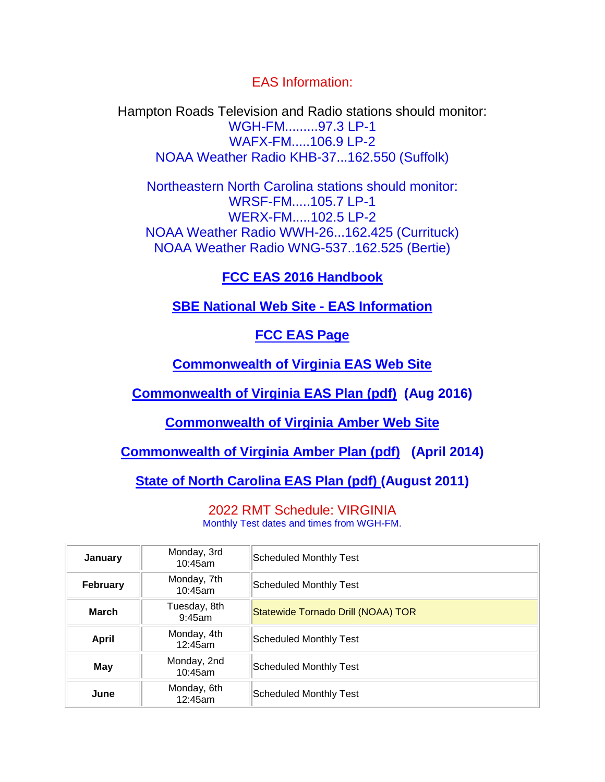EAS Information:

Hampton Roads Television and Radio stations should monitor: WGH-FM.........97.3 LP-1 WAFX-FM.....106.9 LP-2 NOAA Weather Radio KHB-37...162.550 (Suffolk)

Northeastern North Carolina stations should monitor: WRSF-FM.....105.7 LP-1 WERX-FM.....102.5 LP-2 NOAA Weather Radio WWH-26...162.425 (Currituck) NOAA Weather Radio WNG-537..162.525 (Bertie)

# **[FCC EAS 2016 Handbook](http://www.sbe54.org/pages/fcceas2016.pdf)**

### **[SBE National Web Site -](http://www.sbe.org/eas/eas.html) EAS Information**

# **[FCC EAS Page](http://www.fcc.gov/general/emergency-alert-system-eas)**

**[Commonwealth of Virginia EAS Web Site](http://va-eas.org/)**

**[Commonwealth of Virginia EAS Plan \(pdf\)](http://va-eas.org/vaplan.pdf) (Aug 2016)**

**[Commonwealth of Virginia Amber Web Site](http://www.vaamberalert.com/)**

**[Commonwealth of Virginia Amber Plan \(pdf\)](http://www.vaamberalert.com/VA_Amber_Alert_Plan.pdf) (April 2014)**

**[State of North Carolina EAS Plan \(pdf\)](https://www.ncdps.gov/div/EM/documents/StateEASplanAugust2011.pdf) (August 2011)**

2022 RMT Schedule: VIRGINIA Monthly Test dates and times from WGH-FM.

| January         | Monday, 3rd<br>10:45am    | <b>Scheduled Monthly Test</b>      |
|-----------------|---------------------------|------------------------------------|
| <b>February</b> | Monday, 7th<br>10:45am    | Scheduled Monthly Test             |
| <b>March</b>    | Tuesday, 8th<br>$9:45$ am | Statewide Tornado Drill (NOAA) TOR |
| <b>April</b>    | Monday, 4th<br>12:45am    | Scheduled Monthly Test             |
| May             | Monday, 2nd<br>10:45am    | Scheduled Monthly Test             |
| June            | Monday, 6th<br>12:45am    | Scheduled Monthly Test             |